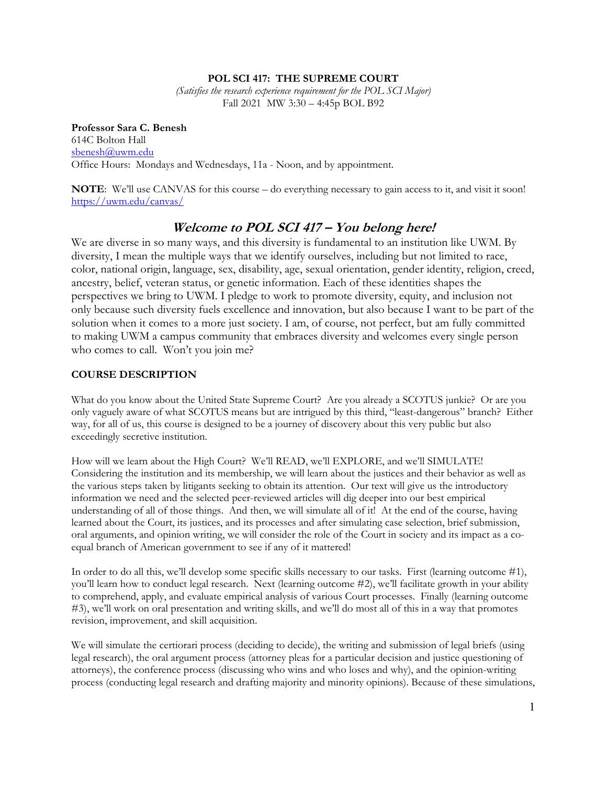## **POL SCI 417: THE SUPREME COURT**

*(Satisfies the research experience requirement for the POL SCI Major)*  Fall 2021 MW 3:30 – 4:45p BOL B92

**Professor Sara C. Benesh**  614C Bolton Hall sbenesh@uwm.edu Office Hours: Mondays and Wednesdays, 11a - Noon, and by appointment.

**NOTE**: We'll use CANVAS for this course – do everything necessary to gain access to it, and visit it soon! https://uwm.edu/canvas/

# **Welcome to POL SCI 417 – You belong here!**

We are diverse in so many ways, and this diversity is fundamental to an institution like UWM. By diversity, I mean the multiple ways that we identify ourselves, including but not limited to race, color, national origin, language, sex, disability, age, sexual orientation, gender identity, religion, creed, ancestry, belief, veteran status, or genetic information. Each of these identities shapes the perspectives we bring to UWM. I pledge to work to promote diversity, equity, and inclusion not only because such diversity fuels excellence and innovation, but also because I want to be part of the solution when it comes to a more just society. I am, of course, not perfect, but am fully committed to making UWM a campus community that embraces diversity and welcomes every single person who comes to call. Won't you join me?

## **COURSE DESCRIPTION**

What do you know about the United State Supreme Court? Are you already a SCOTUS junkie? Or are you only vaguely aware of what SCOTUS means but are intrigued by this third, "least-dangerous" branch? Either way, for all of us, this course is designed to be a journey of discovery about this very public but also exceedingly secretive institution.

How will we learn about the High Court? We'll READ, we'll EXPLORE, and we'll SIMULATE! Considering the institution and its membership, we will learn about the justices and their behavior as well as the various steps taken by litigants seeking to obtain its attention. Our text will give us the introductory information we need and the selected peer-reviewed articles will dig deeper into our best empirical understanding of all of those things. And then, we will simulate all of it! At the end of the course, having learned about the Court, its justices, and its processes and after simulating case selection, brief submission, oral arguments, and opinion writing, we will consider the role of the Court in society and its impact as a coequal branch of American government to see if any of it mattered!

In order to do all this, we'll develop some specific skills necessary to our tasks. First (learning outcome #1), you'll learn how to conduct legal research. Next (learning outcome #2), we'll facilitate growth in your ability to comprehend, apply, and evaluate empirical analysis of various Court processes. Finally (learning outcome #3), we'll work on oral presentation and writing skills, and we'll do most all of this in a way that promotes revision, improvement, and skill acquisition.

We will simulate the certiorari process (deciding to decide), the writing and submission of legal briefs (using legal research), the oral argument process (attorney pleas for a particular decision and justice questioning of attorneys), the conference process (discussing who wins and who loses and why), and the opinion-writing process (conducting legal research and drafting majority and minority opinions). Because of these simulations,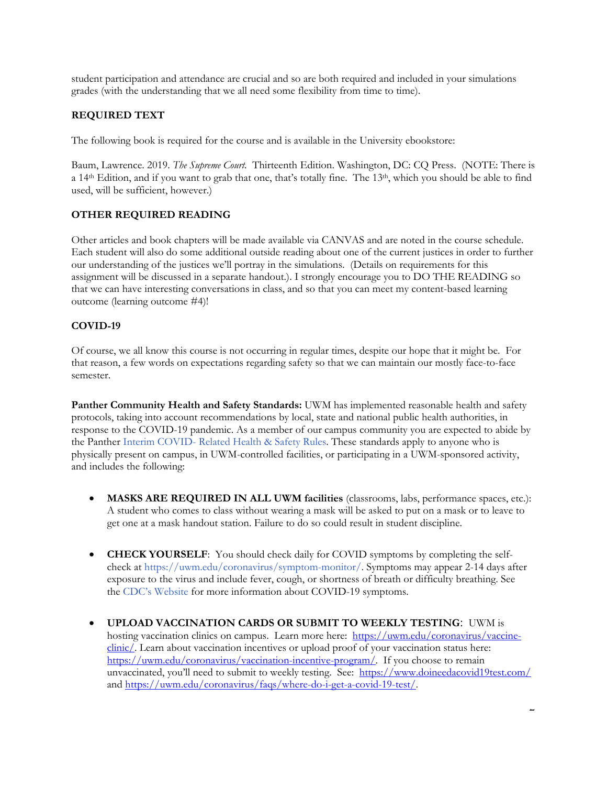student participation and attendance are crucial and so are both required and included in your simulations grades (with the understanding that we all need some flexibility from time to time).

## **REQUIRED TEXT**

The following book is required for the course and is available in the University ebookstore:

Baum, Lawrence. 2019. *The Supreme Court.* Thirteenth Edition. Washington, DC: CQ Press. (NOTE: There is a 14<sup>th</sup> Edition, and if you want to grab that one, that's totally fine. The 13<sup>th</sup>, which you should be able to find used, will be sufficient, however.)

## **OTHER REQUIRED READING**

Other articles and book chapters will be made available via CANVAS and are noted in the course schedule. Each student will also do some additional outside reading about one of the current justices in order to further our understanding of the justices we'll portray in the simulations. (Details on requirements for this assignment will be discussed in a separate handout.). I strongly encourage you to DO THE READING so that we can have interesting conversations in class, and so that you can meet my content-based learning outcome (learning outcome #4)!

## **COVID-19**

Of course, we all know this course is not occurring in regular times, despite our hope that it might be. For that reason, a few words on expectations regarding safety so that we can maintain our mostly face-to-face semester.

Panther Community Health and Safety Standards: UWM has implemented reasonable health and safety protocols, taking into account recommendations by local, state and national public health authorities, in response to the COVID-19 pandemic. As a member of our campus community you are expected to abide by the Panther Interim COVID- Related Health & Safety Rules. These standards apply to anyone who is physically present on campus, in UWM-controlled facilities, or participating in a UWM-sponsored activity, and includes the following:

- **MASKS ARE REQUIRED IN ALL UWM facilities** (classrooms, labs, performance spaces, etc.): A student who comes to class without wearing a mask will be asked to put on a mask or to leave to get one at a mask handout station. Failure to do so could result in student discipline.
- **CHECK YOURSELF**: You should check daily for COVID symptoms by completing the selfcheck at https://uwm.edu/coronavirus/symptom-monitor/. Symptoms may appear 2-14 days after exposure to the virus and include fever, cough, or shortness of breath or difficulty breathing. See the CDC's Website for more information about COVID-19 symptoms.
- **UPLOAD VACCINATION CARDS OR SUBMIT TO WEEKLY TESTING**: UWM is hosting vaccination clinics on campus. Learn more here: https://uwm.edu/coronavirus/vaccineclinic/. Learn about vaccination incentives or upload proof of your vaccination status here: https://uwm.edu/coronavirus/vaccination-incentive-program/. If you choose to remain unvaccinated, you'll need to submit to weekly testing. See: https://www.doineedacovid19test.com/ and https://uwm.edu/coronavirus/faqs/where-do-i-get-a-covid-19-test/.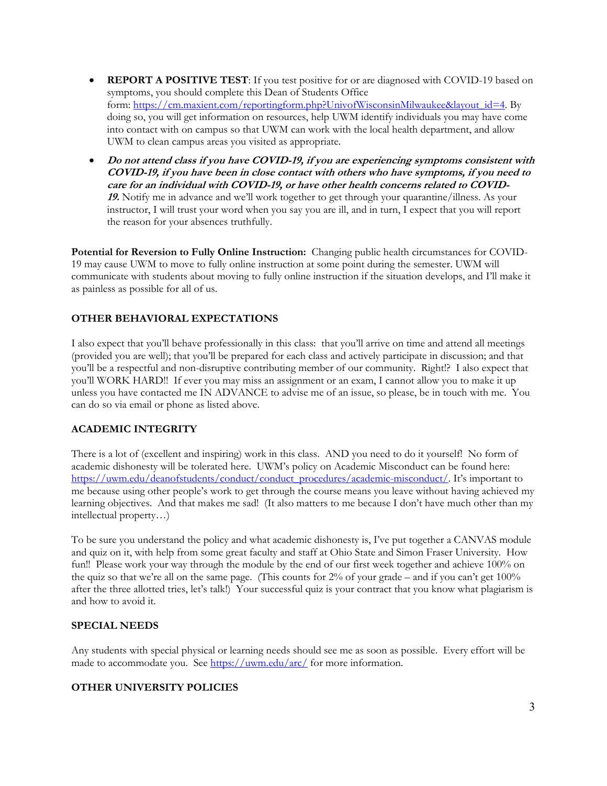- **REPORT A POSITIVE TEST**: If you test positive for or are diagnosed with COVID-19 based on symptoms, you should complete this Dean of Students Office form: https://cm.maxient.com/reportingform.php?UnivofWisconsinMilwaukee&layout\_id=4. By doing so, you will get information on resources, help UWM identify individuals you may have come into contact with on campus so that UWM can work with the local health department, and allow UWM to clean campus areas you visited as appropriate.
- **Do not attend class if you have COVID-19, if you are experiencing symptoms consistent with COVID-19, if you have been in close contact with others who have symptoms, if you need to care for an individual with COVID-19, or have other health concerns related to COVID-19.** Notify me in advance and we'll work together to get through your quarantine/illness. As your instructor, I will trust your word when you say you are ill, and in turn, I expect that you will report the reason for your absences truthfully.

**Potential for Reversion to Fully Online Instruction:** Changing public health circumstances for COVID-19 may cause UWM to move to fully online instruction at some point during the semester. UWM will communicate with students about moving to fully online instruction if the situation develops, and I'll make it as painless as possible for all of us.

## **OTHER BEHAVIORAL EXPECTATIONS**

I also expect that you'll behave professionally in this class: that you'll arrive on time and attend all meetings (provided you are well); that you'll be prepared for each class and actively participate in discussion; and that you'll be a respectful and non-disruptive contributing member of our community. Right!? I also expect that you'll WORK HARD!! If ever you may miss an assignment or an exam, I cannot allow you to make it up unless you have contacted me IN ADVANCE to advise me of an issue, so please, be in touch with me. You can do so via email or phone as listed above.

## **ACADEMIC INTEGRITY**

There is a lot of (excellent and inspiring) work in this class. AND you need to do it yourself! No form of academic dishonesty will be tolerated here. UWM's policy on Academic Misconduct can be found here: https://uwm.edu/deanofstudents/conduct/conduct\_procedures/academic-misconduct/. It's important to me because using other people's work to get through the course means you leave without having achieved my learning objectives. And that makes me sad! (It also matters to me because I don't have much other than my intellectual property…)

To be sure you understand the policy and what academic dishonesty is, I've put together a CANVAS module and quiz on it, with help from some great faculty and staff at Ohio State and Simon Fraser University. How fun!! Please work your way through the module by the end of our first week together and achieve 100% on the quiz so that we're all on the same page. (This counts for  $2\%$  of your grade – and if you can't get 100% after the three allotted tries, let's talk!) Your successful quiz is your contract that you know what plagiarism is and how to avoid it.

#### **SPECIAL NEEDS**

Any students with special physical or learning needs should see me as soon as possible. Every effort will be made to accommodate you. See https://uwm.edu/arc/ for more information.

## **OTHER UNIVERSITY POLICIES**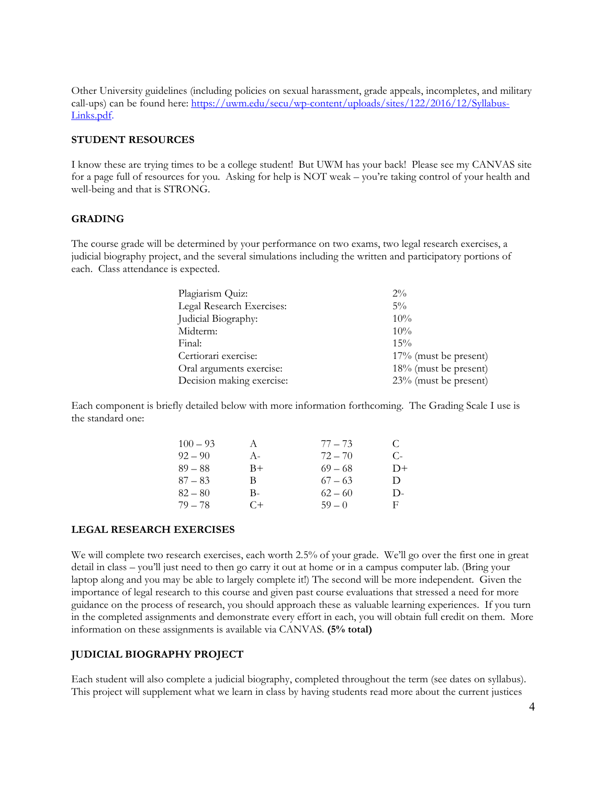Other University guidelines (including policies on sexual harassment, grade appeals, incompletes, and military call-ups) can be found here: https://uwm.edu/secu/wp-content/uploads/sites/122/2016/12/Syllabus-Links.pdf.

#### **STUDENT RESOURCES**

I know these are trying times to be a college student! But UWM has your back! Please see my CANVAS site for a page full of resources for you. Asking for help is NOT weak – you're taking control of your health and well-being and that is STRONG.

#### **GRADING**

The course grade will be determined by your performance on two exams, two legal research exercises, a judicial biography project, and the several simulations including the written and participatory portions of each. Class attendance is expected.

| Plagiarism Quiz:          | $2\%$                    |
|---------------------------|--------------------------|
| Legal Research Exercises: | $5\%$                    |
| Judicial Biography:       | 10%                      |
| Midterm:                  | 10%                      |
| Final:                    | 15%                      |
| Certiorari exercise:      | $17\%$ (must be present) |
| Oral arguments exercise:  | 18% (must be present)    |
| Decision making exercise: | 23% (must be present)    |

Each component is briefly detailed below with more information forthcoming. The Grading Scale I use is the standard one:

| $100 - 93$ | A     | $77 - 73$ | €    |
|------------|-------|-----------|------|
| $92 - 90$  | $A -$ | $72 - 70$ | C-   |
| $89 - 88$  | $B+$  | $69 - 68$ | $D+$ |
| $87 - 83$  | В     | $67 - 63$ | D    |
| $82 - 80$  | В-    | $62 - 60$ | $D-$ |
| $79 - 78$  | $C+$  | $59 - 0$  | E    |

#### **LEGAL RESEARCH EXERCISES**

We will complete two research exercises, each worth 2.5% of your grade. We'll go over the first one in great detail in class – you'll just need to then go carry it out at home or in a campus computer lab. (Bring your laptop along and you may be able to largely complete it!) The second will be more independent. Given the importance of legal research to this course and given past course evaluations that stressed a need for more guidance on the process of research, you should approach these as valuable learning experiences. If you turn in the completed assignments and demonstrate every effort in each, you will obtain full credit on them. More information on these assignments is available via CANVAS. **(5% total)**

#### **JUDICIAL BIOGRAPHY PROJECT**

Each student will also complete a judicial biography, completed throughout the term (see dates on syllabus). This project will supplement what we learn in class by having students read more about the current justices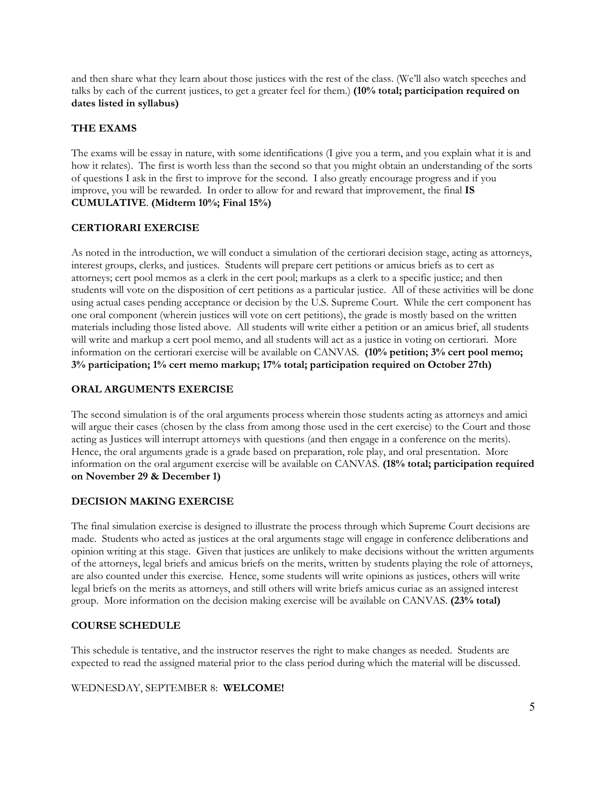and then share what they learn about those justices with the rest of the class. (We'll also watch speeches and talks by each of the current justices, to get a greater feel for them.) **(10% total; participation required on dates listed in syllabus)** 

## **THE EXAMS**

The exams will be essay in nature, with some identifications (I give you a term, and you explain what it is and how it relates). The first is worth less than the second so that you might obtain an understanding of the sorts of questions I ask in the first to improve for the second. I also greatly encourage progress and if you improve, you will be rewarded. In order to allow for and reward that improvement, the final **IS CUMULATIVE**. **(Midterm 10%; Final 15%)** 

### **CERTIORARI EXERCISE**

As noted in the introduction, we will conduct a simulation of the certiorari decision stage, acting as attorneys, interest groups, clerks, and justices. Students will prepare cert petitions or amicus briefs as to cert as attorneys; cert pool memos as a clerk in the cert pool; markups as a clerk to a specific justice; and then students will vote on the disposition of cert petitions as a particular justice. All of these activities will be done using actual cases pending acceptance or decision by the U.S. Supreme Court. While the cert component has one oral component (wherein justices will vote on cert petitions), the grade is mostly based on the written materials including those listed above. All students will write either a petition or an amicus brief, all students will write and markup a cert pool memo, and all students will act as a justice in voting on certiorari. More information on the certiorari exercise will be available on CANVAS. **(10% petition; 3% cert pool memo; 3% participation; 1% cert memo markup; 17% total; participation required on October 27th)** 

#### **ORAL ARGUMENTS EXERCISE**

The second simulation is of the oral arguments process wherein those students acting as attorneys and amici will argue their cases (chosen by the class from among those used in the cert exercise) to the Court and those acting as Justices will interrupt attorneys with questions (and then engage in a conference on the merits). Hence, the oral arguments grade is a grade based on preparation, role play, and oral presentation. More information on the oral argument exercise will be available on CANVAS. **(18% total; participation required on November 29 & December 1)** 

#### **DECISION MAKING EXERCISE**

The final simulation exercise is designed to illustrate the process through which Supreme Court decisions are made. Students who acted as justices at the oral arguments stage will engage in conference deliberations and opinion writing at this stage. Given that justices are unlikely to make decisions without the written arguments of the attorneys, legal briefs and amicus briefs on the merits, written by students playing the role of attorneys, are also counted under this exercise. Hence, some students will write opinions as justices, others will write legal briefs on the merits as attorneys, and still others will write briefs amicus curiae as an assigned interest group. More information on the decision making exercise will be available on CANVAS. **(23% total)**

## **COURSE SCHEDULE**

This schedule is tentative, and the instructor reserves the right to make changes as needed. Students are expected to read the assigned material prior to the class period during which the material will be discussed.

#### WEDNESDAY, SEPTEMBER 8: **WELCOME!**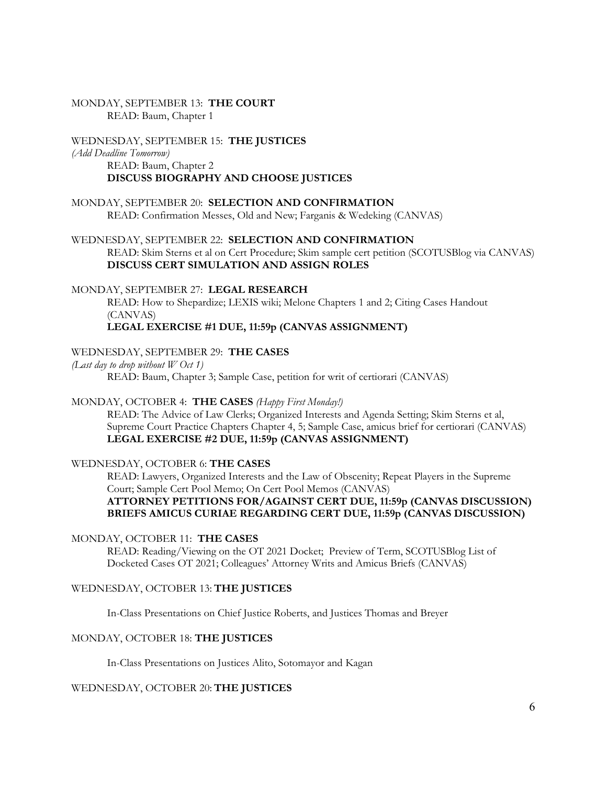#### MONDAY, SEPTEMBER 13: **THE COURT**  READ: Baum, Chapter 1

WEDNESDAY, SEPTEMBER 15: **THE JUSTICES**  *(Add Deadline Tomorrow)*  READ: Baum, Chapter 2 **DISCUSS BIOGRAPHY AND CHOOSE JUSTICES** 

## MONDAY, SEPTEMBER 20: **SELECTION AND CONFIRMATION** READ: Confirmation Messes, Old and New; Farganis & Wedeking (CANVAS)

WEDNESDAY, SEPTEMBER 22: **SELECTION AND CONFIRMATION** READ: Skim Sterns et al on Cert Procedure; Skim sample cert petition (SCOTUSBlog via CANVAS) **DISCUSS CERT SIMULATION AND ASSIGN ROLES**

## MONDAY, SEPTEMBER 27: **LEGAL RESEARCH**

READ: How to Shepardize; LEXIS wiki; Melone Chapters 1 and 2; Citing Cases Handout (CANVAS)

## **LEGAL EXERCISE #1 DUE, 11:59p (CANVAS ASSIGNMENT)**

#### WEDNESDAY, SEPTEMBER 29: **THE CASES**

*(Last day to drop without W Oct 1)*  READ: Baum, Chapter 3; Sample Case, petition for writ of certiorari (CANVAS)

#### MONDAY, OCTOBER 4: **THE CASES** *(Happy First Monday!)*

READ: The Advice of Law Clerks; Organized Interests and Agenda Setting; Skim Sterns et al, Supreme Court Practice Chapters Chapter 4, 5; Sample Case, amicus brief for certiorari (CANVAS) **LEGAL EXERCISE #2 DUE, 11:59p (CANVAS ASSIGNMENT)** 

## WEDNESDAY, OCTOBER 6: **THE CASES**

READ: Lawyers, Organized Interests and the Law of Obscenity; Repeat Players in the Supreme Court; Sample Cert Pool Memo; On Cert Pool Memos (CANVAS) **ATTORNEY PETITIONS FOR/AGAINST CERT DUE, 11:59p (CANVAS DISCUSSION)** 

# **BRIEFS AMICUS CURIAE REGARDING CERT DUE, 11:59p (CANVAS DISCUSSION)**

#### MONDAY, OCTOBER 11: **THE CASES**

READ: Reading/Viewing on the OT 2021 Docket; Preview of Term, SCOTUSBlog List of Docketed Cases OT 2021; Colleagues' Attorney Writs and Amicus Briefs (CANVAS)

#### WEDNESDAY, OCTOBER 13: **THE JUSTICES**

In-Class Presentations on Chief Justice Roberts, and Justices Thomas and Breyer

## MONDAY, OCTOBER 18: **THE JUSTICES**

In-Class Presentations on Justices Alito, Sotomayor and Kagan

## WEDNESDAY, OCTOBER 20: **THE JUSTICES**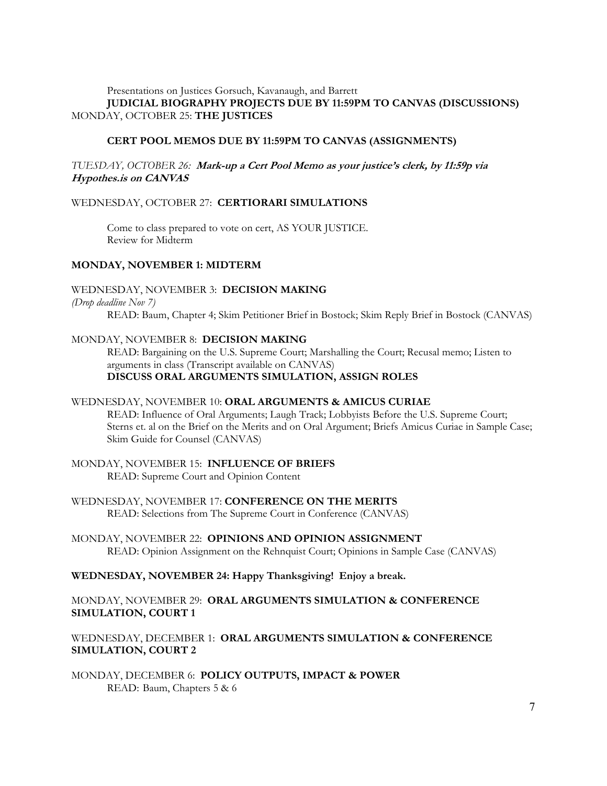#### Presentations on Justices Gorsuch, Kavanaugh, and Barrett **JUDICIAL BIOGRAPHY PROJECTS DUE BY 11:59PM TO CANVAS (DISCUSSIONS)**  MONDAY, OCTOBER 25: **THE JUSTICES**

#### **CERT POOL MEMOS DUE BY 11:59PM TO CANVAS (ASSIGNMENTS)**

### *TUESDAY, OCTOBER 26:* **Mark-up a Cert Pool Memo as your justice's clerk, by 11:59p via Hypothes.is on CANVAS**

#### WEDNESDAY, OCTOBER 27: **CERTIORARI SIMULATIONS**

 Come to class prepared to vote on cert, AS YOUR JUSTICE. Review for Midterm

#### **MONDAY, NOVEMBER 1: MIDTERM**

#### WEDNESDAY, NOVEMBER 3: **DECISION MAKING**

#### *(Drop deadline Nov 7)*

READ: Baum, Chapter 4; Skim Petitioner Brief in Bostock; Skim Reply Brief in Bostock (CANVAS)

#### MONDAY, NOVEMBER 8: **DECISION MAKING**

READ: Bargaining on the U.S. Supreme Court; Marshalling the Court; Recusal memo; Listen to arguments in class (Transcript available on CANVAS) **DISCUSS ORAL ARGUMENTS SIMULATION, ASSIGN ROLES** 

#### WEDNESDAY, NOVEMBER 10: **ORAL ARGUMENTS & AMICUS CURIAE**

READ: Influence of Oral Arguments; Laugh Track; Lobbyists Before the U.S. Supreme Court; Sterns et. al on the Brief on the Merits and on Oral Argument; Briefs Amicus Curiae in Sample Case; Skim Guide for Counsel (CANVAS)

#### MONDAY, NOVEMBER 15: **INFLUENCE OF BRIEFS**  READ: Supreme Court and Opinion Content

WEDNESDAY, NOVEMBER 17: **CONFERENCE ON THE MERITS**  READ: Selections from The Supreme Court in Conference (CANVAS)

MONDAY, NOVEMBER 22: **OPINIONS AND OPINION ASSIGNMENT**  READ: Opinion Assignment on the Rehnquist Court; Opinions in Sample Case (CANVAS)

## **WEDNESDAY, NOVEMBER 24: Happy Thanksgiving! Enjoy a break.**

## MONDAY, NOVEMBER 29: **ORAL ARGUMENTS SIMULATION & CONFERENCE SIMULATION, COURT 1**

## WEDNESDAY, DECEMBER 1: **ORAL ARGUMENTS SIMULATION & CONFERENCE SIMULATION, COURT 2**

MONDAY, DECEMBER 6: **POLICY OUTPUTS, IMPACT & POWER** READ: Baum, Chapters 5 & 6